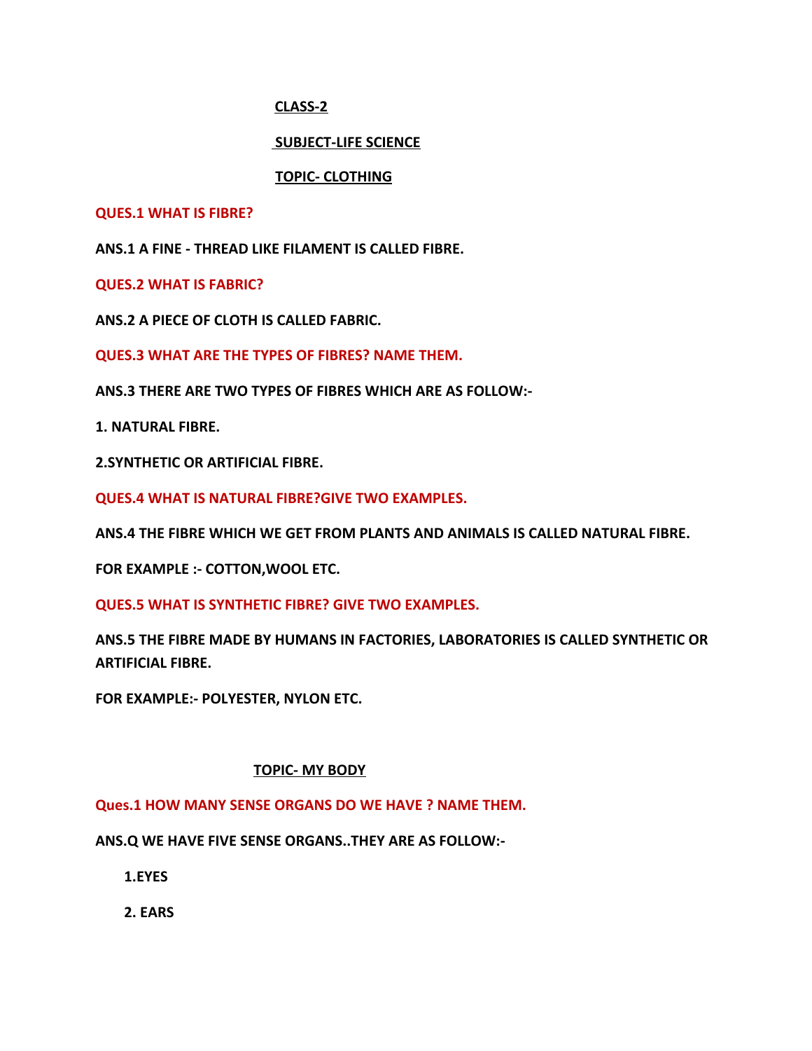# **CLASS-2**

# **SUBJECT-LIFE SCIENCE**

# **TOPIC- CLOTHING**

## **QUES.1 WHAT IS FIBRE?**

**ANS.1 A FINE - THREAD LIKE FILAMENT IS CALLED FIBRE.**

**QUES.2 WHAT IS FABRIC?**

**ANS.2 A PIECE OF CLOTH IS CALLED FABRIC.**

**QUES.3 WHAT ARE THE TYPES OF FIBRES? NAME THEM.**

**ANS.3 THERE ARE TWO TYPES OF FIBRES WHICH ARE AS FOLLOW:-**

**1. NATURAL FIBRE.**

**2.SYNTHETIC OR ARTIFICIAL FIBRE.**

**QUES.4 WHAT IS NATURAL FIBRE?GIVE TWO EXAMPLES.**

**ANS.4 THE FIBRE WHICH WE GET FROM PLANTS AND ANIMALS IS CALLED NATURAL FIBRE.**

**FOR EXAMPLE :- COTTON,WOOL ETC.**

**QUES.5 WHAT IS SYNTHETIC FIBRE? GIVE TWO EXAMPLES.**

**ANS.5 THE FIBRE MADE BY HUMANS IN FACTORIES, LABORATORIES IS CALLED SYNTHETIC OR ARTIFICIAL FIBRE.**

**FOR EXAMPLE:- POLYESTER, NYLON ETC.**

## **TOPIC- MY BODY**

**Ques.1 HOW MANY SENSE ORGANS DO WE HAVE ? NAME THEM.**

**ANS.Q WE HAVE FIVE SENSE ORGANS..THEY ARE AS FOLLOW:-**

 **1.EYES**

 **2. EARS**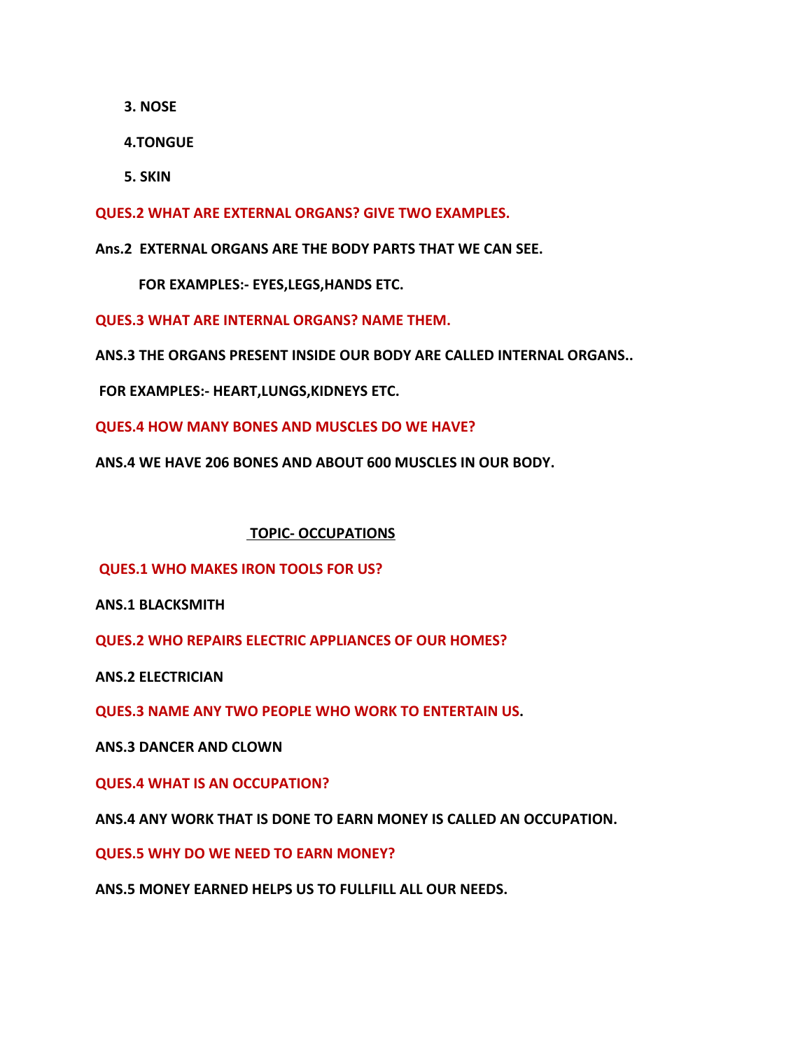**3. NOSE**

 **4.TONGUE**

 **5. SKIN**

**QUES.2 WHAT ARE EXTERNAL ORGANS? GIVE TWO EXAMPLES.**

**Ans.2 EXTERNAL ORGANS ARE THE BODY PARTS THAT WE CAN SEE.**

 **FOR EXAMPLES:- EYES,LEGS,HANDS ETC.**

**QUES.3 WHAT ARE INTERNAL ORGANS? NAME THEM.**

**ANS.3 THE ORGANS PRESENT INSIDE OUR BODY ARE CALLED INTERNAL ORGANS..**

 **FOR EXAMPLES:- HEART,LUNGS,KIDNEYS ETC.**

**QUES.4 HOW MANY BONES AND MUSCLES DO WE HAVE?**

**ANS.4 WE HAVE 206 BONES AND ABOUT 600 MUSCLES IN OUR BODY.**

#### **TOPIC- OCCUPATIONS**

**QUES.1 WHO MAKES IRON TOOLS FOR US?**

**ANS.1 BLACKSMITH**

**QUES.2 WHO REPAIRS ELECTRIC APPLIANCES OF OUR HOMES?**

**ANS.2 ELECTRICIAN**

**QUES.3 NAME ANY TWO PEOPLE WHO WORK TO ENTERTAIN US.**

**ANS.3 DANCER AND CLOWN**

**QUES.4 WHAT IS AN OCCUPATION?**

**ANS.4 ANY WORK THAT IS DONE TO EARN MONEY IS CALLED AN OCCUPATION.**

**QUES.5 WHY DO WE NEED TO EARN MONEY?**

**ANS.5 MONEY EARNED HELPS US TO FULLFILL ALL OUR NEEDS.**